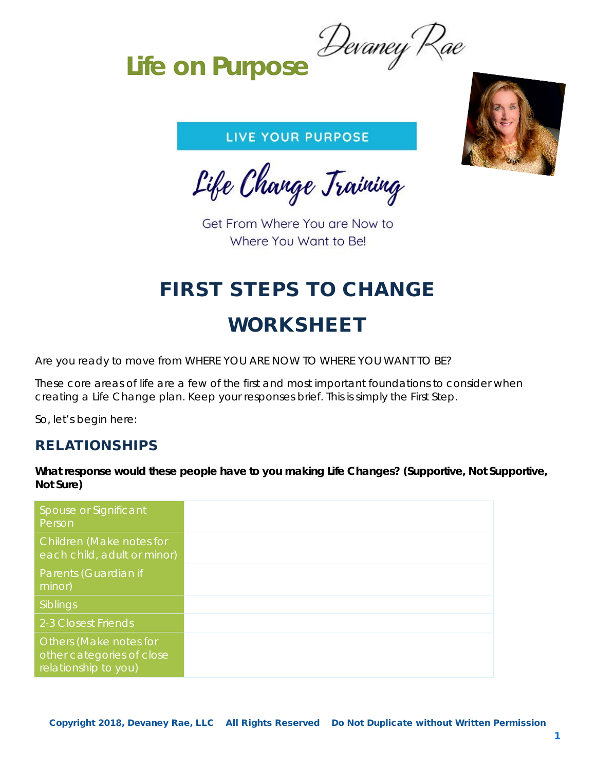**Life on Purpose**

### LIVE YOUR PURPOSE

Life Change Training

Get From Where You are Now to Where You Want to Be!

# FIRST STEPS TO CHANGE WORKSHEET

Are you ready to move from WHERE YOU ARE NOW TO WHERE YOU WANT TO BE?

These core areas of life are a few of the first and most important foundations to consider when creating a Life Change plan. Keep your responses brief. This is simply the First Step.

So, let's begin here:

### RELATIONSHIPS

**What response would these people have to you making Life Changes? (Supportive, Not Supportive, Not Sure)**

| Spouse or Significant<br>Person                                             |
|-----------------------------------------------------------------------------|
| Children (Make notes for<br>each child, adult or minor)                     |
| Parents (Guardian if<br>minor)                                              |
| Siblings                                                                    |
| 2-3 Closest Friends                                                         |
| Others (Make notes for<br>other categories of close<br>relationship to you) |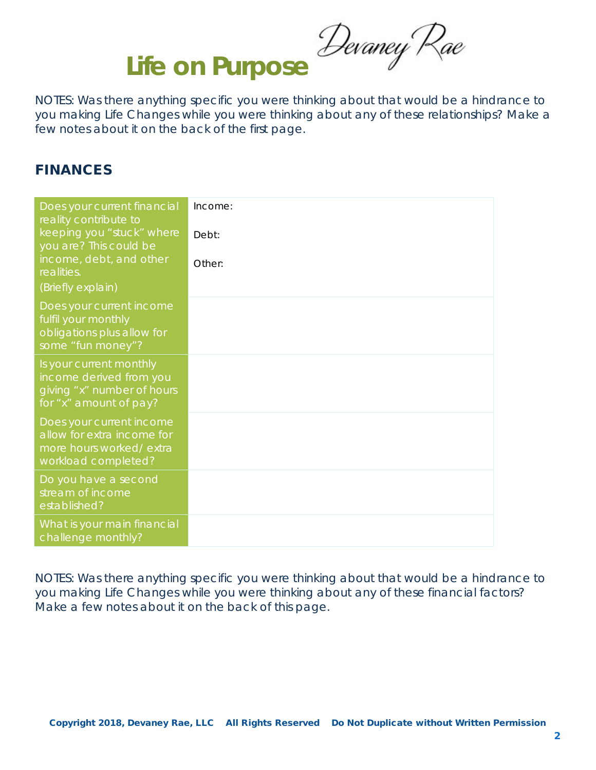Life on Purpose Devaney Rae

NOTES: Was there anything specific you were thinking about that would be a hindrance to you making Life Changes while you were thinking about any of these relationships? Make a few notes about it on the back of the first page.

### FINANCES

| Does your current financial<br>reality contribute to                                                       | Income: |
|------------------------------------------------------------------------------------------------------------|---------|
| keeping you "stuck" where<br>you are? This could be                                                        | Debt:   |
| income, debt, and other<br>realities.                                                                      | Other:  |
| (Briefly explain)                                                                                          |         |
| Does your current income<br>fulfil your monthly<br>obligations plus allow for<br>some "fun money"?         |         |
| Is your current monthly<br>income derived from you<br>giving "x" number of hours<br>for "x" amount of pay? |         |
| Does your current income<br>allow for extra income for<br>more hours worked/extra<br>workload completed?   |         |
| Do you have a second<br>stream of income<br>established?                                                   |         |
| What is your main financial<br>challenge monthly?                                                          |         |

NOTES: Was there anything specific you were thinking about that would be a hindrance to you making Life Changes while you were thinking about any of these financial factors? Make a few notes about it on the back of this page.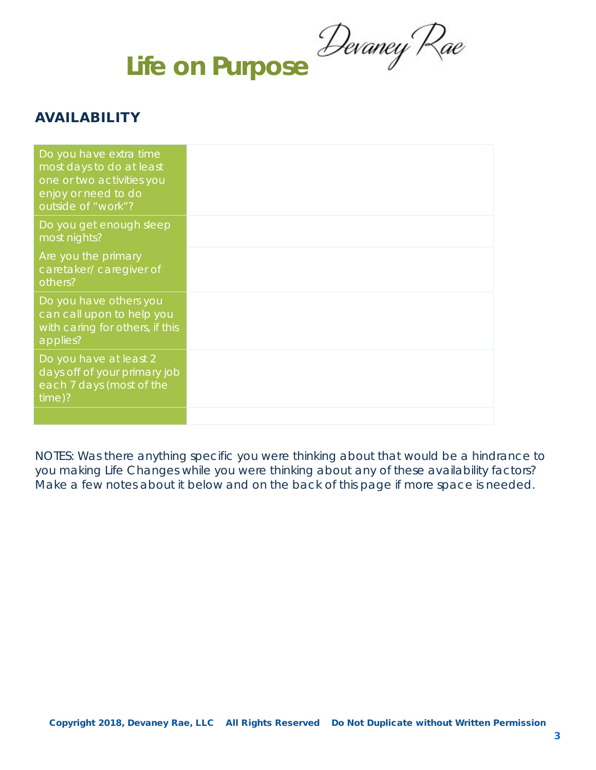**Life on Purpose**

## AVAILABILITY

| Do you have extra time<br>most days to do at least<br>one or two activities you<br>enjoy or need to do<br>outside of "work"? |  |
|------------------------------------------------------------------------------------------------------------------------------|--|
| Do you get enough sleep<br>most nights?                                                                                      |  |
| Are you the primary<br>caretaker/caregiver of<br>others?                                                                     |  |
| Do you have others you<br>can call upon to help you<br>with caring for others, if this<br>applies?                           |  |
| Do you have at least 2<br>days off of your primary job<br>each 7 days (most of the<br>time)?                                 |  |
|                                                                                                                              |  |

NOTES: Was there anything specific you were thinking about that would be a hindrance to you making Life Changes while you were thinking about any of these availability factors? Make a few notes about it below and on the back of this page if more space is needed.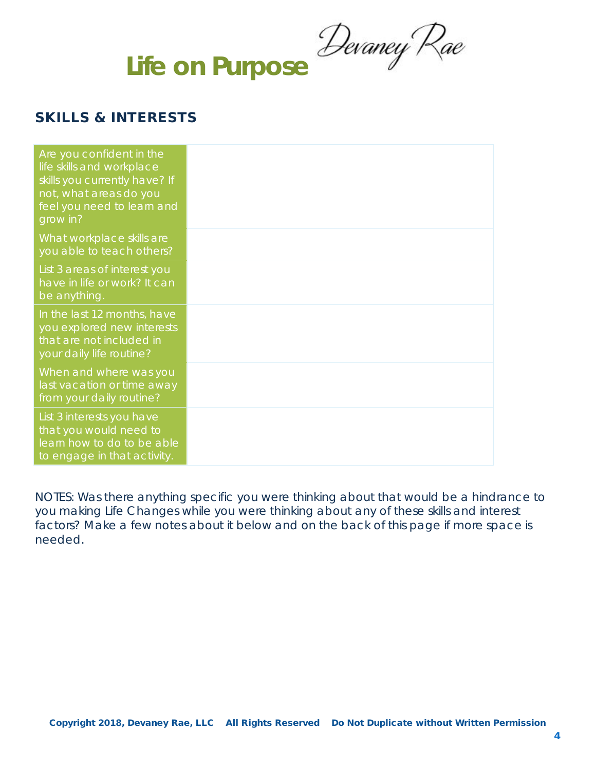**Life on Purpose**

## SKILLS & INTERESTS

| Are you confident in the<br>life skills and workplace<br>skills you currently have? If<br>not, what areas do you<br>feel you need to learn and<br>grow in? |  |
|------------------------------------------------------------------------------------------------------------------------------------------------------------|--|
| What workplace skills are<br>you able to teach others?                                                                                                     |  |
| List 3 areas of interest you<br>have in life or work? It can<br>be anything.                                                                               |  |
| In the last 12 months, have<br>you explored new interests<br>that are not included in<br>your daily life routine?                                          |  |
| When and where was you<br>last vacation or time away<br>from your daily routine?                                                                           |  |
| List 3 interests you have<br>that you would need to<br>learn how to do to be able<br>to engage in that activity.                                           |  |

NOTES: Was there anything specific you were thinking about that would be a hindrance to you making Life Changes while you were thinking about any of these skills and interest factors? Make a few notes about it below and on the back of this page if more space is needed.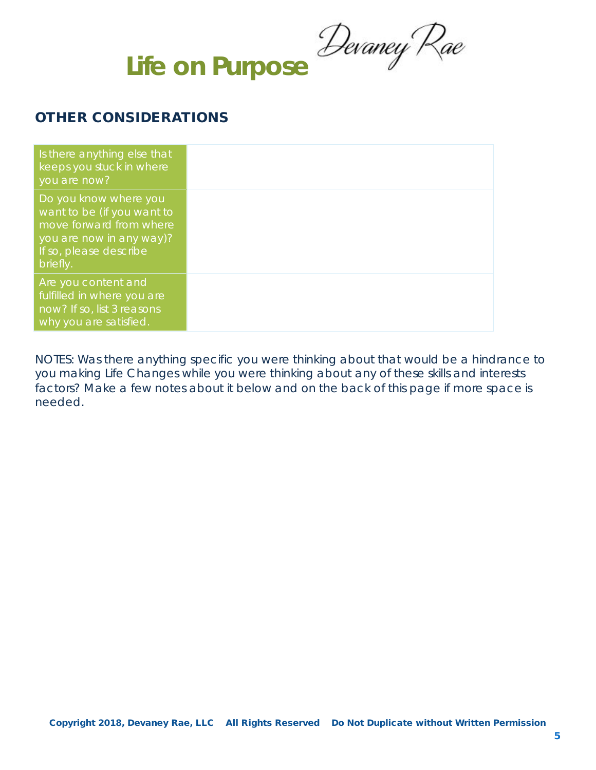**Life on Purpose**

### OTHER CONSIDERATIONS

| Is there anything else that<br>keeps you stuck in where<br>you are now?                                                                          |
|--------------------------------------------------------------------------------------------------------------------------------------------------|
| Do you know where you<br>want to be (if you want to<br>move forward from where<br>you are now in any way)?<br>If so, please describe<br>briefly. |
| Are you content and<br>fulfilled in where you are<br>now? If so, list 3 reasons<br>why you are satisfied.                                        |

NOTES: Was there anything specific you were thinking about that would be a hindrance to you making Life Changes while you were thinking about any of these skills and interests factors? Make a few notes about it below and on the back of this page if more space is needed.